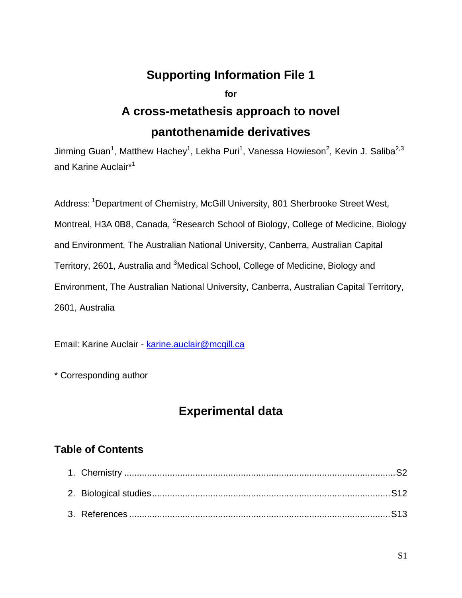### **Supporting Information File 1**

**for** 

# **A cross-metathesis approach to novel pantothenamide derivatives**

Jinming Guan<sup>1</sup>, Matthew Hachey<sup>1</sup>, Lekha Puri<sup>1</sup>, Vanessa Howieson<sup>2</sup>, Kevin J. Saliba<sup>2,3</sup> and Karine Auclair\*<sup>1</sup>

Address: <sup>1</sup>Department of Chemistry, McGill University, 801 Sherbrooke Street West, Montreal, H3A 0B8, Canada, <sup>2</sup>Research School of Biology, College of Medicine, Biology and Environment, The Australian National University, Canberra, Australian Capital Territory, 2601, Australia and <sup>3</sup>Medical School, College of Medicine, Biology and Environment, The Australian National University, Canberra, Australian Capital Territory, 2601, Australia

Email: Karine Auclair - [karine.auclair@mcgill.ca](mailto:karine.auclair@mcgill.ca)

\* Corresponding author

## **Experimental data**

### **Table of Contents**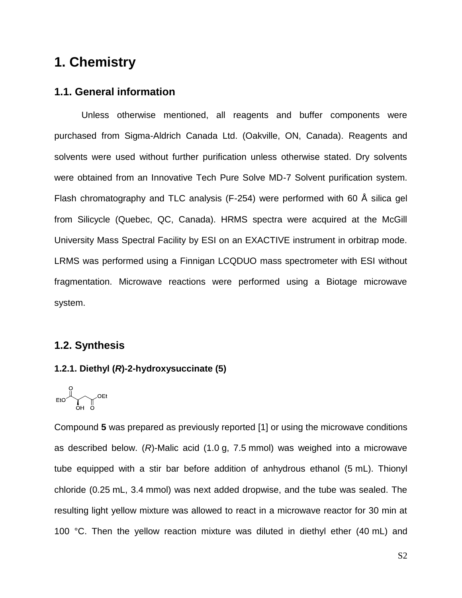# **1. Chemistry**

### **1.1. General information**

Unless otherwise mentioned, all reagents and buffer components were purchased from Sigma-Aldrich Canada Ltd. (Oakville, ON, Canada). Reagents and solvents were used without further purification unless otherwise stated. Dry solvents were obtained from an Innovative Tech Pure Solve MD-7 Solvent purification system. Flash chromatography and TLC analysis (F-254) were performed with 60 Å silica gel from Silicycle (Quebec, QC, Canada). HRMS spectra were acquired at the McGill University Mass Spectral Facility by ESI on an EXACTIVE instrument in orbitrap mode. LRMS was performed using a Finnigan LCQDUO mass spectrometer with ESI without fragmentation. Microwave reactions were performed using a Biotage microwave system.

### **1.2. Synthesis**

#### **1.2.1. Diethyl (***R***)-2-hydroxysuccinate (5)**

$$
\text{EtO}\overset{\text{O}}{\underset{\text{OH}}{\bigcup}}\text{OEt}
$$

Compound **5** was prepared as previously reported [1] or using the microwave conditions as described below. (*R*)-Malic acid (1.0 g, 7.5 mmol) was weighed into a microwave tube equipped with a stir bar before addition of anhydrous ethanol (5 mL). Thionyl chloride (0.25 mL, 3.4 mmol) was next added dropwise, and the tube was sealed. The resulting light yellow mixture was allowed to react in a microwave reactor for 30 min at 100 °C. Then the yellow reaction mixture was diluted in diethyl ether (40 mL) and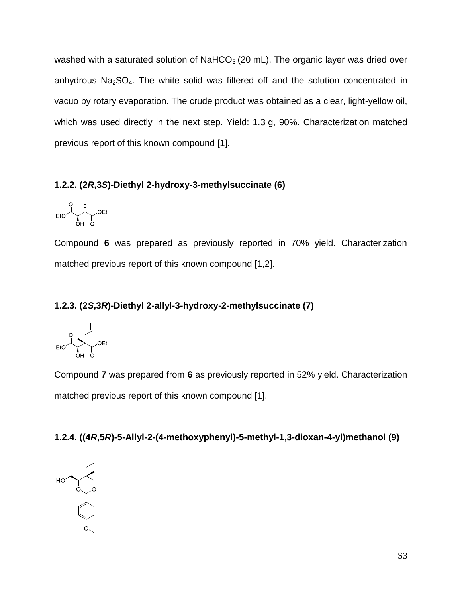washed with a saturated solution of  $NAHCO<sub>3</sub>$  (20 mL). The organic layer was dried over anhydrous  $Na<sub>2</sub>SO<sub>4</sub>$ . The white solid was filtered off and the solution concentrated in vacuo by rotary evaporation. The crude product was obtained as a clear, light-yellow oil, which was used directly in the next step. Yield: 1.3 g, 90%. Characterization matched previous report of this known compound [1].

### **1.2.2. (2***R***,3***S***)-Diethyl 2-hydroxy-3-methylsuccinate (6)**

$$
EtO \underbrace{\begin{matrix} 0 \\ 0 \\ 0 \\ H \end{matrix}}_{\text{OH}} \underbrace{\begin{matrix} 0 \\ 0 \\ 0 \end{matrix}}_{\text{C}} \text{OEt}
$$

Compound **6** was prepared as previously reported in 70% yield. Characterization matched previous report of this known compound [1,2].

### **1.2.3. (2***S***,3***R***)-Diethyl 2-allyl-3-hydroxy-2-methylsuccinate (7)**

Compound **7** was prepared from **6** as previously reported in 52% yield. Characterization matched previous report of this known compound [1].

### **1.2.4. ((4***R***,5***R***)-5-Allyl-2-(4-methoxyphenyl)-5-methyl-1,3-dioxan-4-yl)methanol (9)**

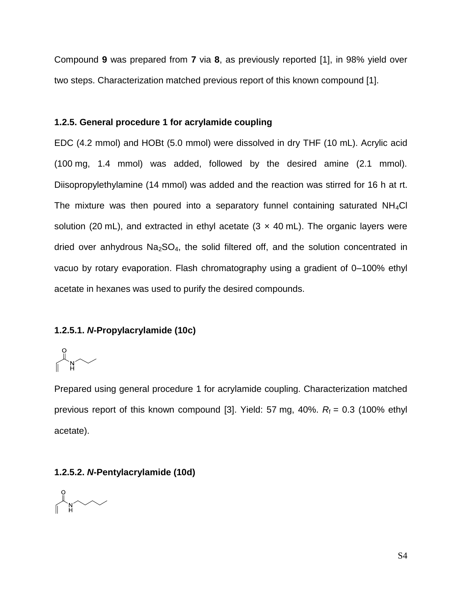Compound **9** was prepared from **7** via **8**, as previously reported [1], in 98% yield over two steps. Characterization matched previous report of this known compound [1].

#### **1.2.5. General procedure 1 for acrylamide coupling**

EDC (4.2 mmol) and HOBt (5.0 mmol) were dissolved in dry THF (10 mL). Acrylic acid (100 mg, 1.4 mmol) was added, followed by the desired amine (2.1 mmol). Diisopropylethylamine (14 mmol) was added and the reaction was stirred for 16 h at rt. The mixture was then poured into a separatory funnel containing saturated  $NH<sub>4</sub>Cl$ solution (20 mL), and extracted in ethyl acetate (3  $\times$  40 mL). The organic layers were dried over anhydrous  $Na<sub>2</sub>SO<sub>4</sub>$ , the solid filtered off, and the solution concentrated in vacuo by rotary evaporation. Flash chromatography using a gradient of 0–100% ethyl acetate in hexanes was used to purify the desired compounds.

### **1.2.5.1.** *N***-Propylacrylamide (10c)**

 $\begin{matrix} 0 \ \mathbb{R}^N \end{matrix}$ 

Prepared using general procedure 1 for acrylamide coupling. Characterization matched previous report of this known compound [3]. Yield: 57 mg, 40%.  $R_f = 0.3$  (100% ethyl acetate).

#### **1.2.5.2.** *N***-Pentylacrylamide (10d)**

 $\begin{picture}(180,10) \put(0,0){\line(1,0){10}} \put(15,0){\line(1,0){10}} \put(15,0){\line(1,0){10}} \put(15,0){\line(1,0){10}} \put(15,0){\line(1,0){10}} \put(15,0){\line(1,0){10}} \put(15,0){\line(1,0){10}} \put(15,0){\line(1,0){10}} \put(15,0){\line(1,0){10}} \put(15,0){\line(1,0){10}} \put(15,0){\line(1,0){10}} \put(15,0){\line($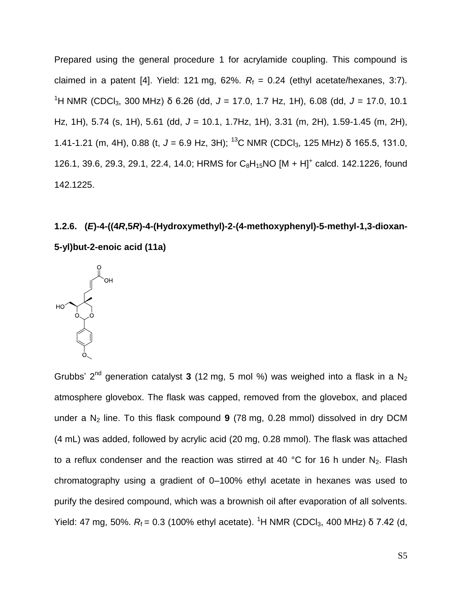Prepared using the general procedure 1 for acrylamide coupling. This compound is claimed in a patent [4]. Yield: 121 mg, 62%.  $R_f = 0.24$  (ethyl acetate/hexanes, 3:7). <sup>1</sup>H NMR (CDCl3, 300 MHz) δ 6.26 (dd, *J* = 17.0, 1.7 Hz, 1H), 6.08 (dd, *J* = 17.0, 10.1 Hz, 1H), 5.74 (s, 1H), 5.61 (dd, *J* = 10.1, 1.7Hz, 1H), 3.31 (m, 2H), 1.59-1.45 (m, 2H), 1.41-1.21 (m, 4H), 0.88 (t, *J* = 6.9 Hz, 3H); <sup>13</sup>C NMR (CDCl3, 125 MHz) δ 165.5, 131.0, 126.1, 39.6, 29.3, 29.1, 22.4, 14.0; HRMS for  $C_8H_{15}NO [M + H]^+$  calcd. 142.1226, found 142.1225.

# **1.2.6. (***E***)-4-((4***R***,5***R***)-4-(Hydroxymethyl)-2-(4-methoxyphenyl)-5-methyl-1,3-dioxan-5-yl)but-2-enoic acid (11a)**



Grubbs' 2<sup>nd</sup> generation catalyst 3 (12 mg, 5 mol %) was weighed into a flask in a N<sub>2</sub> atmosphere glovebox. The flask was capped, removed from the glovebox, and placed under a N<sub>2</sub> line. To this flask compound 9 (78 mg, 0.28 mmol) dissolved in dry DCM (4 mL) was added, followed by acrylic acid (20 mg, 0.28 mmol). The flask was attached to a reflux condenser and the reaction was stirred at 40 °C for 16 h under  $N_2$ . Flash chromatography using a gradient of 0–100% ethyl acetate in hexanes was used to purify the desired compound, which was a brownish oil after evaporation of all solvents. Yield: 47 mg, 50%.  $R_f$  = 0.3 (100% ethyl acetate). <sup>1</sup>H NMR (CDCl<sub>3</sub>, 400 MHz) δ 7.42 (d,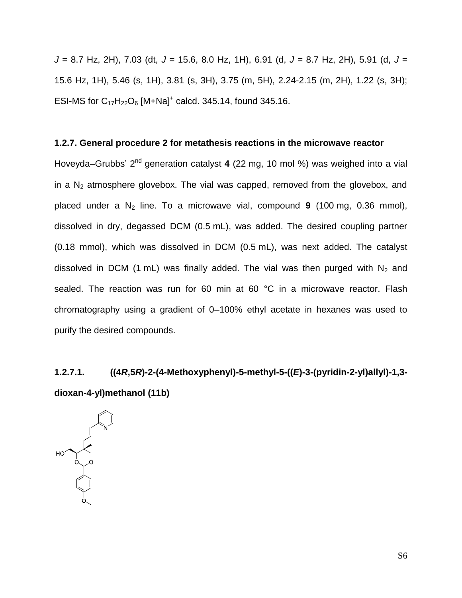*J* = 8.7 Hz, 2H), 7.03 (dt, *J* = 15.6, 8.0 Hz, 1H), 6.91 (d, *J* = 8.7 Hz, 2H), 5.91 (d, *J* = 15.6 Hz, 1H), 5.46 (s, 1H), 3.81 (s, 3H), 3.75 (m, 5H), 2.24-2.15 (m, 2H), 1.22 (s, 3H); ESI-MS for  $C_{17}H_{22}O_6$  [M+Na]<sup>+</sup> calcd. 345.14, found 345.16.

#### **1.2.7. General procedure 2 for metathesis reactions in the microwave reactor**

Hoveyda–Grubbs' 2<sup>nd</sup> generation catalyst 4 (22 mg, 10 mol %) was weighed into a vial in a  $N_2$  atmosphere glovebox. The vial was capped, removed from the glovebox, and placed under a N<sup>2</sup> line. To a microwave vial, compound **9** (100 mg, 0.36 mmol), dissolved in dry, degassed DCM (0.5 mL), was added. The desired coupling partner (0.18 mmol), which was dissolved in DCM (0.5 mL), was next added. The catalyst dissolved in DCM (1 mL) was finally added. The vial was then purged with  $N_2$  and sealed. The reaction was run for 60 min at 60 °C in a microwave reactor. Flash chromatography using a gradient of 0–100% ethyl acetate in hexanes was used to purify the desired compounds.

# **1.2.7.1. ((4***R***,5***R***)-2-(4-Methoxyphenyl)-5-methyl-5-((***E***)-3-(pyridin-2-yl)allyl)-1,3 dioxan-4-yl)methanol (11b)**

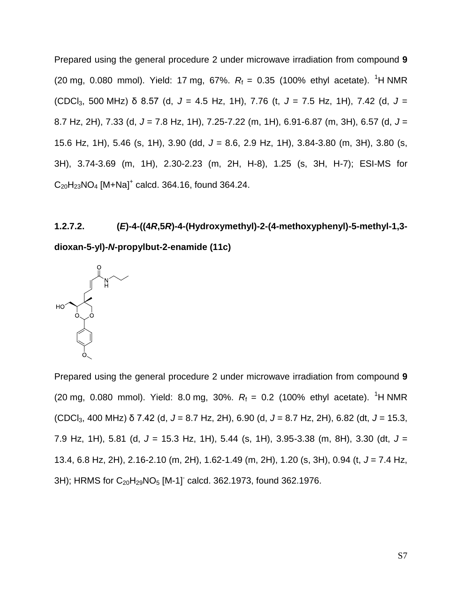Prepared using the general procedure 2 under microwave irradiation from compound **9** (20 mg, 0.080 mmol). Yield: 17 mg, 67%.  $R_f = 0.35$  (100% ethyl acetate). <sup>1</sup>H NMR (CDCl3, 500 MHz) δ 8.57 (d, *J* = 4.5 Hz, 1H), 7.76 (t, *J* = 7.5 Hz, 1H), 7.42 (d, *J* = 8.7 Hz, 2H), 7.33 (d, *J* = 7.8 Hz, 1H), 7.25-7.22 (m, 1H), 6.91-6.87 (m, 3H), 6.57 (d, *J* = 15.6 Hz, 1H), 5.46 (s, 1H), 3.90 (dd, *J* = 8.6, 2.9 Hz, 1H), 3.84-3.80 (m, 3H), 3.80 (s, 3H), 3.74-3.69 (m, 1H), 2.30-2.23 (m, 2H, H-8), 1.25 (s, 3H, H-7); ESI-MS for  $C_{20}H_{23}NO_4$  [M+Na]<sup>+</sup> calcd. 364.16, found 364.24.

# **1.2.7.2. (***E***)-4-((4***R***,5***R***)-4-(Hydroxymethyl)-2-(4-methoxyphenyl)-5-methyl-1,3 dioxan-5-yl)-***N***-propylbut-2-enamide (11c)**



Prepared using the general procedure 2 under microwave irradiation from compound **9** (20 mg, 0.080 mmol). Yield: 8.0 mg, 30%.  $R_f = 0.2$  (100% ethyl acetate). <sup>1</sup>H NMR (CDCl3, 400 MHz) δ 7.42 (d, *J* = 8.7 Hz, 2H), 6.90 (d, *J* = 8.7 Hz, 2H), 6.82 (dt, *J* = 15.3, 7.9 Hz, 1H), 5.81 (d, *J* = 15.3 Hz, 1H), 5.44 (s, 1H), 3.95-3.38 (m, 8H), 3.30 (dt, *J* = 13.4, 6.8 Hz, 2H), 2.16-2.10 (m, 2H), 1.62-1.49 (m, 2H), 1.20 (s, 3H), 0.94 (t, *J* = 7.4 Hz,  $3H$ ; HRMS for  $C_{20}H_{29}NO_5$  [M-1]<sup>-</sup> calcd. 362.1973, found 362.1976.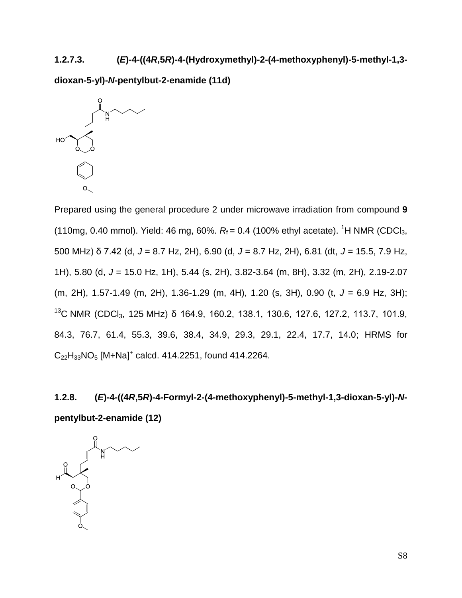# **1.2.7.3. (***E***)-4-((4***R***,5***R***)-4-(Hydroxymethyl)-2-(4-methoxyphenyl)-5-methyl-1,3-**

**dioxan-5-yl)-***N***-pentylbut-2-enamide (11d)**



Prepared using the general procedure 2 under microwave irradiation from compound **9** (110mg, 0.40 mmol). Yield: 46 mg, 60%.  $R_f = 0.4$  (100% ethyl acetate). <sup>1</sup>H NMR (CDCl<sub>3</sub>, 500 MHz) δ 7.42 (d, *J* = 8.7 Hz, 2H), 6.90 (d, *J* = 8.7 Hz, 2H), 6.81 (dt, *J* = 15.5, 7.9 Hz, 1H), 5.80 (d, *J* = 15.0 Hz, 1H), 5.44 (s, 2H), 3.82-3.64 (m, 8H), 3.32 (m, 2H), 2.19-2.07 (m, 2H), 1.57-1.49 (m, 2H), 1.36-1.29 (m, 4H), 1.20 (s, 3H), 0.90 (t, *J* = 6.9 Hz, 3H); <sup>13</sup>C NMR (CDCl<sub>3</sub>, 125 MHz) δ 164.9, 160.2, 138.1, 130.6, 127.6, 127.2, 113.7, 101.9, 84.3, 76.7, 61.4, 55.3, 39.6, 38.4, 34.9, 29.3, 29.1, 22.4, 17.7, 14.0; HRMS for  $C_{22}H_{33}NO_5 [M+Na]^+$  calcd. 414.2251, found 414.2264.

**1.2.8. (***E***)-4-((4***R***,5***R***)-4-Formyl-2-(4-methoxyphenyl)-5-methyl-1,3-dioxan-5-yl)-***N***pentylbut-2-enamide (12)**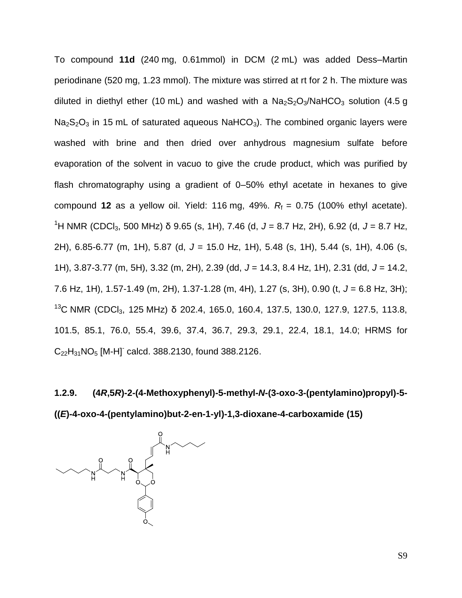To compound **11d** (240 mg, 0.61mmol) in DCM (2 mL) was added Dess–Martin periodinane (520 mg, 1.23 mmol). The mixture was stirred at rt for 2 h. The mixture was diluted in diethyl ether (10 mL) and washed with a  $Na<sub>2</sub>S<sub>2</sub>O<sub>3</sub>/NaHCO<sub>3</sub>$  solution (4.5 g  $Na<sub>2</sub>S<sub>2</sub>O<sub>3</sub>$  in 15 mL of saturated aqueous NaHCO<sub>3</sub>). The combined organic layers were washed with brine and then dried over anhydrous magnesium sulfate before evaporation of the solvent in vacuo to give the crude product, which was purified by flash chromatography using a gradient of 0–50% ethyl acetate in hexanes to give compound 12 as a yellow oil. Yield: 116 mg, 49%.  $R_f = 0.75$  (100% ethyl acetate). <sup>1</sup>H NMR (CDCl3, 500 MHz) δ 9.65 (s, 1H), 7.46 (d, *J* = 8.7 Hz, 2H), 6.92 (d, *J* = 8.7 Hz, 2H), 6.85-6.77 (m, 1H), 5.87 (d, *J* = 15.0 Hz, 1H), 5.48 (s, 1H), 5.44 (s, 1H), 4.06 (s, 1H), 3.87-3.77 (m, 5H), 3.32 (m, 2H), 2.39 (dd, *J* = 14.3, 8.4 Hz, 1H), 2.31 (dd, *J* = 14.2, 7.6 Hz, 1H), 1.57-1.49 (m, 2H), 1.37-1.28 (m, 4H), 1.27 (s, 3H), 0.90 (t, *J* = 6.8 Hz, 3H); <sup>13</sup>C NMR (CDCl<sub>3</sub>, 125 MHz) δ 202.4, 165.0, 160.4, 137.5, 130.0, 127.9, 127.5, 113.8, 101.5, 85.1, 76.0, 55.4, 39.6, 37.4, 36.7, 29.3, 29.1, 22.4, 18.1, 14.0; HRMS for  $C_{22}H_{31}NO_5$  [M-H]<sup>-</sup> calcd. 388.2130, found 388.2126.

**1.2.9. (4***R***,5***R***)-2-(4-Methoxyphenyl)-5-methyl-***N***-(3-oxo-3-(pentylamino)propyl)-5- ((***E***)-4-oxo-4-(pentylamino)but-2-en-1-yl)-1,3-dioxane-4-carboxamide (15)**

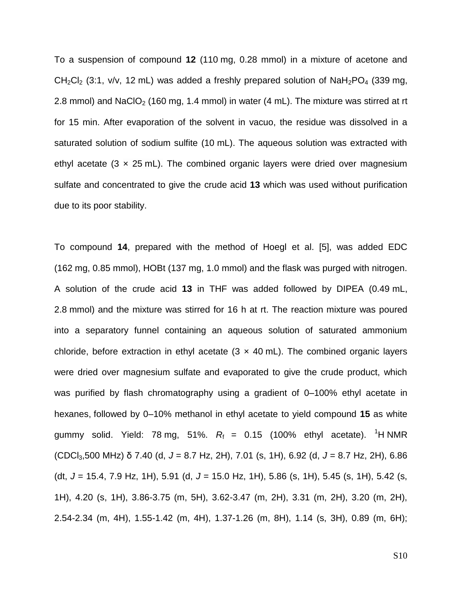To a suspension of compound **12** (110 mg, 0.28 mmol) in a mixture of acetone and  $CH_2Cl_2$  (3:1, v/v, 12 mL) was added a freshly prepared solution of  $Nah_2PO_4$  (339 mg, 2.8 mmol) and NaClO<sub>2</sub> (160 mg, 1.4 mmol) in water (4 mL). The mixture was stirred at rt for 15 min. After evaporation of the solvent in vacuo, the residue was dissolved in a saturated solution of sodium sulfite (10 mL). The aqueous solution was extracted with ethyl acetate (3  $\times$  25 mL). The combined organic layers were dried over magnesium sulfate and concentrated to give the crude acid **13** which was used without purification due to its poor stability.

To compound **14**, prepared with the method of Hoegl et al. [5], was added EDC (162 mg, 0.85 mmol), HOBt (137 mg, 1.0 mmol) and the flask was purged with nitrogen. A solution of the crude acid **13** in THF was added followed by DIPEA (0.49 mL, 2.8 mmol) and the mixture was stirred for 16 h at rt. The reaction mixture was poured into a separatory funnel containing an aqueous solution of saturated ammonium chloride, before extraction in ethyl acetate  $(3 \times 40 \text{ mL})$ . The combined organic layers were dried over magnesium sulfate and evaporated to give the crude product, which was purified by flash chromatography using a gradient of 0–100% ethyl acetate in hexanes, followed by 0–10% methanol in ethyl acetate to yield compound **15** as white gummy solid. Yield: 78 mg, 51%.  $R_f = 0.15$  (100% ethyl acetate). <sup>1</sup>H NMR (CDCl3,500 MHz) δ 7.40 (d, *J* = 8.7 Hz, 2H), 7.01 (s, 1H), 6.92 (d, *J* = 8.7 Hz, 2H), 6.86 (dt, *J* = 15.4, 7.9 Hz, 1H), 5.91 (d, *J* = 15.0 Hz, 1H), 5.86 (s, 1H), 5.45 (s, 1H), 5.42 (s, 1H), 4.20 (s, 1H), 3.86-3.75 (m, 5H), 3.62-3.47 (m, 2H), 3.31 (m, 2H), 3.20 (m, 2H), 2.54-2.34 (m, 4H), 1.55-1.42 (m, 4H), 1.37-1.26 (m, 8H), 1.14 (s, 3H), 0.89 (m, 6H);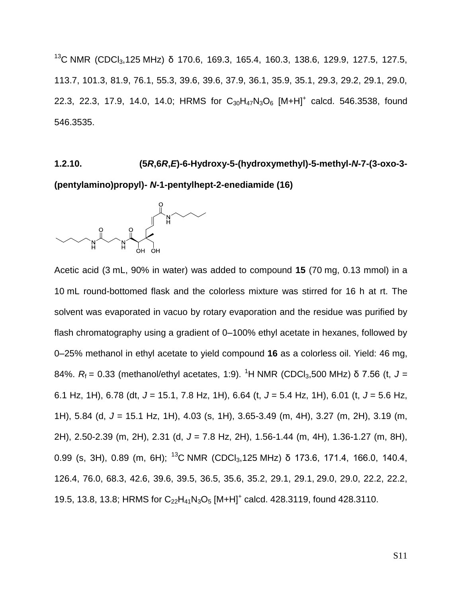<sup>13</sup>C NMR (CDCl<sub>3</sub>,125 MHz) δ 170.6, 169.3, 165.4, 160.3, 138.6, 129.9, 127.5, 127.5, 113.7, 101.3, 81.9, 76.1, 55.3, 39.6, 39.6, 37.9, 36.1, 35.9, 35.1, 29.3, 29.2, 29.1, 29.0, 22.3, 22.3, 17.9, 14.0, 14.0; HRMS for  $C_{30}H_{47}N_3O_6$  [M+H]<sup>+</sup> calcd. 546.3538, found 546.3535.

### **1.2.10. (5***R***,6***R***,***E***)-6-Hydroxy-5-(hydroxymethyl)-5-methyl-***N***-7-(3-oxo-3-**

**(pentylamino)propyl)-** *N***-1-pentylhept-2-enediamide (16)**



Acetic acid (3 mL, 90% in water) was added to compound **15** (70 mg, 0.13 mmol) in a 10 mL round-bottomed flask and the colorless mixture was stirred for 16 h at rt. The solvent was evaporated in vacuo by rotary evaporation and the residue was purified by flash chromatography using a gradient of 0–100% ethyl acetate in hexanes, followed by 0–25% methanol in ethyl acetate to yield compound **16** as a colorless oil. Yield: 46 mg, 84%.  $R_f$  = 0.33 (methanol/ethyl acetates, 1:9). <sup>1</sup>H NMR (CDCl<sub>3</sub>,500 MHz) δ 7.56 (t, J = 6.1 Hz, 1H), 6.78 (dt, *J* = 15.1, 7.8 Hz, 1H), 6.64 (t, *J* = 5.4 Hz, 1H), 6.01 (t, *J* = 5.6 Hz, 1H), 5.84 (d, *J* = 15.1 Hz, 1H), 4.03 (s, 1H), 3.65-3.49 (m, 4H), 3.27 (m, 2H), 3.19 (m, 2H), 2.50-2.39 (m, 2H), 2.31 (d, *J* = 7.8 Hz, 2H), 1.56-1.44 (m, 4H), 1.36-1.27 (m, 8H), 0.99 (s, 3H), 0.89 (m, 6H); <sup>13</sup>C NMR (CDCl<sub>3</sub>, 125 MHz) δ 173.6, 171.4, 166.0, 140.4, 126.4, 76.0, 68.3, 42.6, 39.6, 39.5, 36.5, 35.6, 35.2, 29.1, 29.1, 29.0, 29.0, 22.2, 22.2, 19.5, 13.8, 13.8; HRMS for C<sub>22</sub>H<sub>41</sub>N<sub>3</sub>O<sub>5</sub> [M+H]<sup>+</sup> calcd. 428.3119, found 428.3110.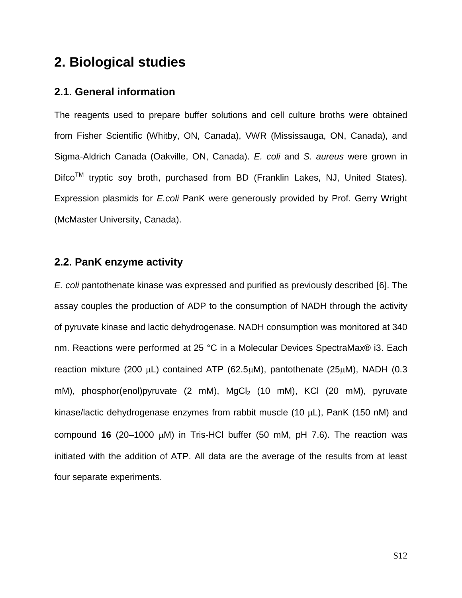### **2. Biological studies**

### **2.1. General information**

The reagents used to prepare buffer solutions and cell culture broths were obtained from Fisher Scientific (Whitby, ON, Canada), VWR (Mississauga, ON, Canada), and Sigma-Aldrich Canada (Oakville, ON, Canada). *E. coli* and *S. aureus* were grown in Difco<sup>™</sup> tryptic soy broth, purchased from BD (Franklin Lakes, NJ, United States). Expression plasmids for *E.coli* PanK were generously provided by Prof. Gerry Wright (McMaster University, Canada).

### **2.2. PanK enzyme activity**

*E. coli* pantothenate kinase was expressed and purified as previously described [6]. The assay couples the production of ADP to the consumption of NADH through the activity of pyruvate kinase and lactic dehydrogenase. NADH consumption was monitored at 340 nm. Reactions were performed at 25 °C in a Molecular Devices SpectraMax® i3. Each reaction mixture (200  $\mu$ L) contained ATP (62.5 $\mu$ M), pantothenate (25 $\mu$ M), NADH (0.3 mM), phosphor(enol)pyruvate  $(2 \text{ mM})$ , MgCl<sub>2</sub>  $(10 \text{ mM})$ , KCl  $(20 \text{ mM})$ , pyruvate kinase/lactic dehydrogenase enzymes from rabbit muscle (10  $\mu$ L), PanK (150 nM) and compound  $16$  (20-1000  $\mu$ M) in Tris-HCl buffer (50 mM, pH 7.6). The reaction was initiated with the addition of ATP. All data are the average of the results from at least four separate experiments.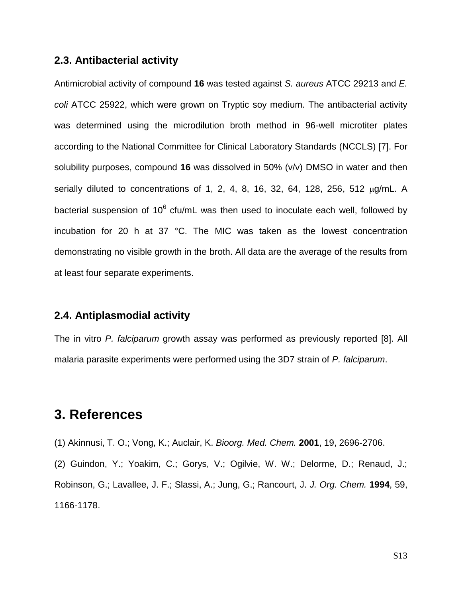### **2.3. Antibacterial activity**

Antimicrobial activity of compound **16** was tested against *S. aureus* ATCC 29213 and *E. coli* ATCC 25922, which were grown on Tryptic soy medium. The antibacterial activity was determined using the microdilution broth method in 96-well microtiter plates according to the National Committee for Clinical Laboratory Standards (NCCLS) [7]. For solubility purposes, compound **16** was dissolved in 50% (v/v) DMSO in water and then serially diluted to concentrations of 1, 2, 4, 8, 16, 32, 64, 128, 256, 512  $\mu q/mL$ . A bacterial suspension of 10<sup>6</sup> cfu/mL was then used to inoculate each well, followed by incubation for 20 h at 37 °C. The MIC was taken as the lowest concentration demonstrating no visible growth in the broth. All data are the average of the results from at least four separate experiments.

### **2.4. Antiplasmodial activity**

The in vitro *P. falciparum* growth assay was performed as previously reported [8]. All malaria parasite experiments were performed using the 3D7 strain of *P. falciparum*.

### **3. References**

(1) Akinnusi, T. O.; Vong, K.; Auclair, K. *Bioorg. Med. Chem.* **2001**, 19, 2696-2706.

(2) Guindon, Y.; Yoakim, C.; Gorys, V.; Ogilvie, W. W.; Delorme, D.; Renaud, J.; Robinson, G.; Lavallee, J. F.; Slassi, A.; Jung, G.; Rancourt, J. *J. Org. Chem.* **1994**, 59, 1166-1178.